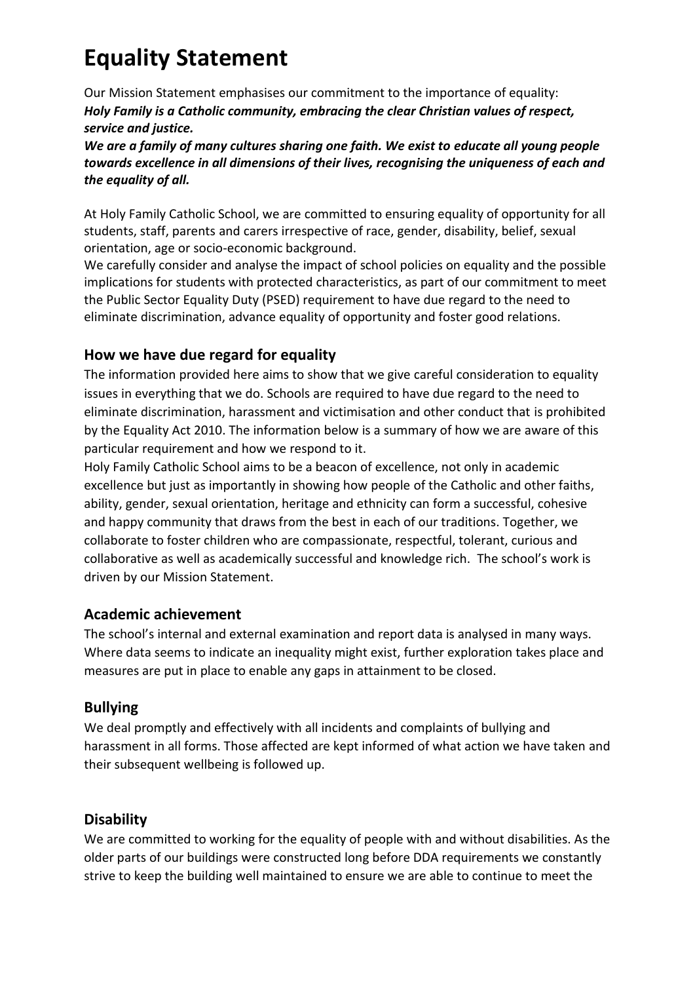## **Equality Statement**

Our Mission Statement emphasises our commitment to the importance of equality: *Holy Family is a Catholic community, embracing the clear Christian values of respect, service and justice.*

*We are a family of many cultures sharing one faith. We exist to educate all young people towards excellence in all dimensions of their lives, recognising the uniqueness of each and the equality of all.*

At Holy Family Catholic School, we are committed to ensuring equality of opportunity for all students, staff, parents and carers irrespective of race, gender, disability, belief, sexual orientation, age or socio-economic background.

We carefully consider and analyse the impact of school policies on equality and the possible implications for students with protected characteristics, as part of our commitment to meet the Public Sector Equality Duty (PSED) requirement to have due regard to the need to eliminate discrimination, advance equality of opportunity and foster good relations.

### **How we have due regard for equality**

The information provided here aims to show that we give careful consideration to equality issues in everything that we do. Schools are required to have due regard to the need to eliminate discrimination, harassment and victimisation and other conduct that is prohibited by the Equality Act 2010. The information below is a summary of how we are aware of this particular requirement and how we respond to it.

Holy Family Catholic School aims to be a beacon of excellence, not only in academic excellence but just as importantly in showing how people of the Catholic and other faiths, ability, gender, sexual orientation, heritage and ethnicity can form a successful, cohesive and happy community that draws from the best in each of our traditions. Together, we collaborate to foster children who are compassionate, respectful, tolerant, curious and collaborative as well as academically successful and knowledge rich. The school's work is driven by our Mission Statement.

#### **Academic achievement**

The school's internal and external examination and report data is analysed in many ways. Where data seems to indicate an inequality might exist, further exploration takes place and measures are put in place to enable any gaps in attainment to be closed.

#### **Bullying**

We deal promptly and effectively with all incidents and complaints of bullying and harassment in all forms. Those affected are kept informed of what action we have taken and their subsequent wellbeing is followed up.

#### **Disability**

We are committed to working for the equality of people with and without disabilities. As the older parts of our buildings were constructed long before DDA requirements we constantly strive to keep the building well maintained to ensure we are able to continue to meet the